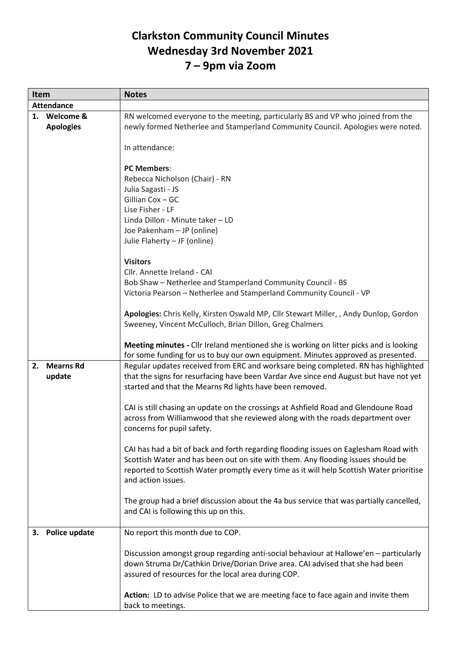## **Clarkston Community Council Minutes Wednesday 3rd November 2021 7 – 9pm via Zoom**

| Item |                   | <b>Notes</b>                                                                                                                                                           |
|------|-------------------|------------------------------------------------------------------------------------------------------------------------------------------------------------------------|
|      | <b>Attendance</b> |                                                                                                                                                                        |
|      | 1. Welcome &      | RN welcomed everyone to the meeting, particularly BS and VP who joined from the                                                                                        |
|      | <b>Apologies</b>  | newly formed Netherlee and Stamperland Community Council. Apologies were noted.                                                                                        |
|      |                   |                                                                                                                                                                        |
|      |                   | In attendance:                                                                                                                                                         |
|      |                   |                                                                                                                                                                        |
|      |                   | <b>PC Members:</b>                                                                                                                                                     |
|      |                   | Rebecca Nicholson (Chair) - RN                                                                                                                                         |
|      |                   | Julia Sagasti - JS                                                                                                                                                     |
|      |                   | Gillian Cox - GC                                                                                                                                                       |
|      |                   | Lise Fisher - LF                                                                                                                                                       |
|      |                   | Linda Dillon - Minute taker - LD                                                                                                                                       |
|      |                   | Joe Pakenham - JP (online)                                                                                                                                             |
|      |                   | Julie Flaherty - JF (online)                                                                                                                                           |
|      |                   |                                                                                                                                                                        |
|      |                   | <b>Visitors</b>                                                                                                                                                        |
|      |                   | Cllr. Annette Ireland - CAI                                                                                                                                            |
|      |                   | Bob Shaw - Netherlee and Stamperland Community Council - BS                                                                                                            |
|      |                   | Victoria Pearson - Netherlee and Stamperland Community Council - VP                                                                                                    |
|      |                   |                                                                                                                                                                        |
|      |                   | Apologies: Chris Kelly, Kirsten Oswald MP, Cllr Stewart Miller, , Andy Dunlop, Gordon                                                                                  |
|      |                   | Sweeney, Vincent McCulloch, Brian Dillon, Greg Chalmers                                                                                                                |
|      |                   |                                                                                                                                                                        |
|      |                   | Meeting minutes - Cllr Ireland mentioned she is working on litter picks and is looking                                                                                 |
|      |                   | for some funding for us to buy our own equipment. Minutes approved as presented.                                                                                       |
| 2.   | <b>Mearns Rd</b>  | Regular updates received from ERC and worksare being completed. RN has highlighted                                                                                     |
|      | update            | that the signs for resurfacing have been Vardar Ave since end August but have not yet                                                                                  |
|      |                   | started and that the Mearns Rd lights have been removed.                                                                                                               |
|      |                   |                                                                                                                                                                        |
|      |                   | CAI is still chasing an update on the crossings at Ashfield Road and Glendoune Road                                                                                    |
|      |                   | across from Williamwood that she reviewed along with the roads department over                                                                                         |
|      |                   | concerns for pupil safety.                                                                                                                                             |
|      |                   |                                                                                                                                                                        |
|      |                   | CAI has had a bit of back and forth regarding flooding issues on Eaglesham Road with                                                                                   |
|      |                   | Scottish Water and has been out on site with them. Any flooding issues should be                                                                                       |
|      |                   | reported to Scottish Water promptly every time as it will help Scottish Water prioritise                                                                               |
|      |                   | and action issues.                                                                                                                                                     |
|      |                   |                                                                                                                                                                        |
|      |                   | The group had a brief discussion about the 4a bus service that was partially cancelled,                                                                                |
|      |                   | and CAI is following this up on this.                                                                                                                                  |
|      |                   |                                                                                                                                                                        |
| З.   | Police update     | No report this month due to COP.                                                                                                                                       |
|      |                   |                                                                                                                                                                        |
|      |                   | Discussion amongst group regarding anti-social behaviour at Hallowe'en - particularly<br>down Struma Dr/Cathkin Drive/Dorian Drive area. CAI advised that she had been |
|      |                   | assured of resources for the local area during COP.                                                                                                                    |
|      |                   |                                                                                                                                                                        |
|      |                   |                                                                                                                                                                        |
|      |                   | Action: LD to advise Police that we are meeting face to face again and invite them                                                                                     |
|      |                   | back to meetings.                                                                                                                                                      |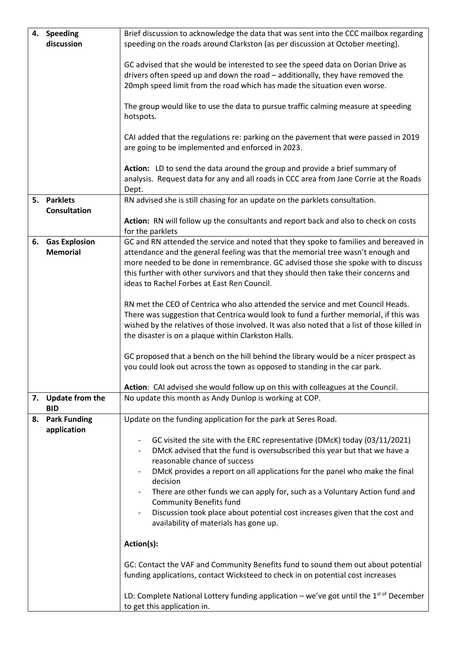| 4. | <b>Speeding</b>                         | Brief discussion to acknowledge the data that was sent into the CCC mailbox regarding                                                                                                                                                                                                                                                                                                                                                                                                                                                                                                                                                                                                                              |
|----|-----------------------------------------|--------------------------------------------------------------------------------------------------------------------------------------------------------------------------------------------------------------------------------------------------------------------------------------------------------------------------------------------------------------------------------------------------------------------------------------------------------------------------------------------------------------------------------------------------------------------------------------------------------------------------------------------------------------------------------------------------------------------|
|    | discussion                              | speeding on the roads around Clarkston (as per discussion at October meeting).                                                                                                                                                                                                                                                                                                                                                                                                                                                                                                                                                                                                                                     |
|    |                                         | GC advised that she would be interested to see the speed data on Dorian Drive as                                                                                                                                                                                                                                                                                                                                                                                                                                                                                                                                                                                                                                   |
|    |                                         | drivers often speed up and down the road - additionally, they have removed the                                                                                                                                                                                                                                                                                                                                                                                                                                                                                                                                                                                                                                     |
|    |                                         | 20mph speed limit from the road which has made the situation even worse.                                                                                                                                                                                                                                                                                                                                                                                                                                                                                                                                                                                                                                           |
|    |                                         | The group would like to use the data to pursue traffic calming measure at speeding<br>hotspots.                                                                                                                                                                                                                                                                                                                                                                                                                                                                                                                                                                                                                    |
|    |                                         | CAI added that the regulations re: parking on the pavement that were passed in 2019<br>are going to be implemented and enforced in 2023.                                                                                                                                                                                                                                                                                                                                                                                                                                                                                                                                                                           |
|    |                                         | Action: LD to send the data around the group and provide a brief summary of<br>analysis. Request data for any and all roads in CCC area from Jane Corrie at the Roads<br>Dept.                                                                                                                                                                                                                                                                                                                                                                                                                                                                                                                                     |
|    | 5. Parklets<br><b>Consultation</b>      | RN advised she is still chasing for an update on the parklets consultation.                                                                                                                                                                                                                                                                                                                                                                                                                                                                                                                                                                                                                                        |
|    |                                         | Action: RN will follow up the consultants and report back and also to check on costs<br>for the parklets                                                                                                                                                                                                                                                                                                                                                                                                                                                                                                                                                                                                           |
| 6. | <b>Gas Explosion</b><br><b>Memorial</b> | GC and RN attended the service and noted that they spoke to families and bereaved in<br>attendance and the general feeling was that the memorial tree wasn't enough and<br>more needed to be done in remembrance. GC advised those she spoke with to discuss<br>this further with other survivors and that they should then take their concerns and<br>ideas to Rachel Forbes at East Ren Council.                                                                                                                                                                                                                                                                                                                 |
|    |                                         | RN met the CEO of Centrica who also attended the service and met Council Heads.<br>There was suggestion that Centrica would look to fund a further memorial, if this was<br>wished by the relatives of those involved. It was also noted that a list of those killed in<br>the disaster is on a plaque within Clarkston Halls.<br>GC proposed that a bench on the hill behind the library would be a nicer prospect as<br>you could look out across the town as opposed to standing in the car park.                                                                                                                                                                                                               |
|    |                                         | Action: CAI advised she would follow up on this with colleagues at the Council.                                                                                                                                                                                                                                                                                                                                                                                                                                                                                                                                                                                                                                    |
|    | 7. Update from the<br><b>BID</b>        | No update this month as Andy Dunlop is working at COP.                                                                                                                                                                                                                                                                                                                                                                                                                                                                                                                                                                                                                                                             |
|    | 8. Park Funding<br>application          | Update on the funding application for the park at Seres Road.                                                                                                                                                                                                                                                                                                                                                                                                                                                                                                                                                                                                                                                      |
|    |                                         | GC visited the site with the ERC representative (DMcK) today (03/11/2021)<br>DMcK advised that the fund is oversubscribed this year but that we have a<br>reasonable chance of success<br>DMcK provides a report on all applications for the panel who make the final<br>decision<br>There are other funds we can apply for, such as a Voluntary Action fund and<br><b>Community Benefits fund</b><br>Discussion took place about potential cost increases given that the cost and<br>availability of materials has gone up.<br>Action(s):<br>GC: Contact the VAF and Community Benefits fund to sound them out about potential<br>funding applications, contact Wicksteed to check in on potential cost increases |
|    |                                         | LD: Complete National Lottery funding application - we've got until the $1st of$ December<br>to get this application in.                                                                                                                                                                                                                                                                                                                                                                                                                                                                                                                                                                                           |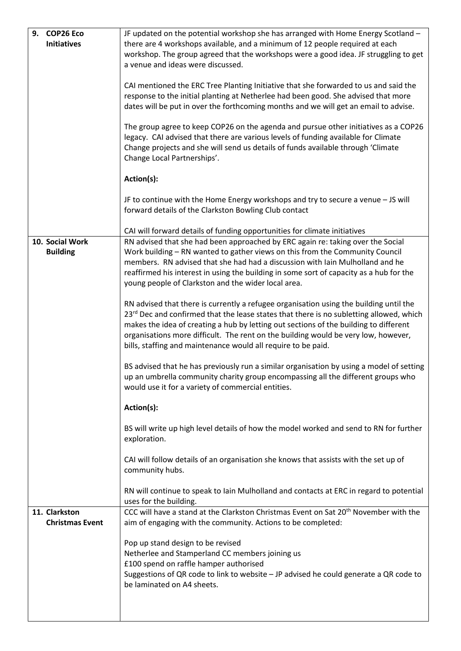| 9. COP26 Eco           | JF updated on the potential workshop she has arranged with Home Energy Scotland -                |
|------------------------|--------------------------------------------------------------------------------------------------|
| <b>Initiatives</b>     | there are 4 workshops available, and a minimum of 12 people required at each                     |
|                        | workshop. The group agreed that the workshops were a good idea. JF struggling to get             |
|                        | a venue and ideas were discussed.                                                                |
|                        |                                                                                                  |
|                        |                                                                                                  |
|                        | CAI mentioned the ERC Tree Planting Initiative that she forwarded to us and said the             |
|                        | response to the initial planting at Netherlee had been good. She advised that more               |
|                        | dates will be put in over the forthcoming months and we will get an email to advise.             |
|                        |                                                                                                  |
|                        | The group agree to keep COP26 on the agenda and pursue other initiatives as a COP26              |
|                        | legacy. CAI advised that there are various levels of funding available for Climate               |
|                        | Change projects and she will send us details of funds available through 'Climate                 |
|                        | Change Local Partnerships'.                                                                      |
|                        |                                                                                                  |
|                        |                                                                                                  |
|                        | Action(s):                                                                                       |
|                        |                                                                                                  |
|                        | JF to continue with the Home Energy workshops and try to secure a venue - JS will                |
|                        | forward details of the Clarkston Bowling Club contact                                            |
|                        |                                                                                                  |
|                        | CAI will forward details of funding opportunities for climate initiatives                        |
| 10. Social Work        | RN advised that she had been approached by ERC again re: taking over the Social                  |
| <b>Building</b>        | Work building - RN wanted to gather views on this from the Community Council                     |
|                        | members. RN advised that she had had a discussion with Iain Mulholland and he                    |
|                        | reaffirmed his interest in using the building in some sort of capacity as a hub for the          |
|                        |                                                                                                  |
|                        | young people of Clarkston and the wider local area.                                              |
|                        |                                                                                                  |
|                        | RN advised that there is currently a refugee organisation using the building until the           |
|                        | 23rd Dec and confirmed that the lease states that there is no subletting allowed, which          |
|                        | makes the idea of creating a hub by letting out sections of the building to different            |
|                        | organisations more difficult. The rent on the building would be very low, however,               |
|                        | bills, staffing and maintenance would all require to be paid.                                    |
|                        |                                                                                                  |
|                        | BS advised that he has previously run a similar organisation by using a model of setting         |
|                        | up an umbrella community charity group encompassing all the different groups who                 |
|                        | would use it for a variety of commercial entities.                                               |
|                        |                                                                                                  |
|                        | Action(s):                                                                                       |
|                        |                                                                                                  |
|                        | BS will write up high level details of how the model worked and send to RN for further           |
|                        |                                                                                                  |
|                        | exploration.                                                                                     |
|                        |                                                                                                  |
|                        | CAI will follow details of an organisation she knows that assists with the set up of             |
|                        | community hubs.                                                                                  |
|                        |                                                                                                  |
|                        | RN will continue to speak to lain Mulholland and contacts at ERC in regard to potential          |
|                        | uses for the building.                                                                           |
| 11. Clarkston          | CCC will have a stand at the Clarkston Christmas Event on Sat 20 <sup>th</sup> November with the |
| <b>Christmas Event</b> | aim of engaging with the community. Actions to be completed:                                     |
|                        |                                                                                                  |
|                        | Pop up stand design to be revised                                                                |
|                        | Netherlee and Stamperland CC members joining us                                                  |
|                        | £100 spend on raffle hamper authorised                                                           |
|                        | Suggestions of QR code to link to website - JP advised he could generate a QR code to            |
|                        | be laminated on A4 sheets.                                                                       |
|                        |                                                                                                  |
|                        |                                                                                                  |
|                        |                                                                                                  |

I